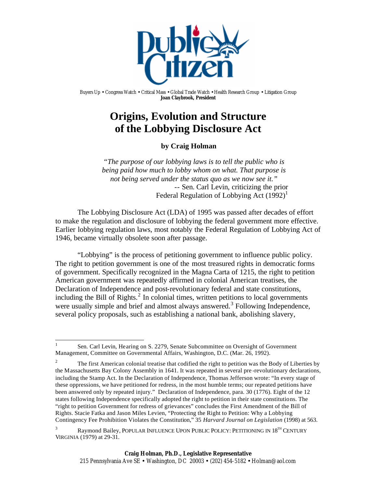

Buyers Up • Congress Watch • Critical Mass • Global Trade Watch • Health Research Group • Litigation Group **Joan Claybrook, President**

# **Origins, Evolution and Structure of the Lobbying Disclosure Act**

**by Craig Holman**

*"The purpose of our lobbying laws is to tell the public who is being paid how much to lobby whom on what. That purpose is not being served under the status quo as we now see it."* -- Sen. Carl Levin, criticizing the prior Federal Regulation of Lobbying Act  $(1992)^{1}$ 

The Lobbying Disclosure Act (LDA) of 1995 was passed after decades of effort to make the regulation and disclosure of lobbying the federal government more effective. Earlier lobbying regulation laws, most notably the Federal Regulation of Lobbying Act of 1946, became virtually obsolete soon after passage.

"Lobbying" is the process of petitioning government to influence public policy. The right to petition government is one of the most treasured rights in democratic forms of government. Specifically recognized in the Magna Carta of 1215, the right to petition American government was repeatedly affirmed in colonial American treatises, the Declaration of Independence and post-revolutionary federal and state constitutions, including the Bill of Rights. $<sup>2</sup>$  In colonial times, written petitions to local governments</sup> were usually simple and brief and almost always answered.<sup>3</sup> Following Independence, several policy proposals, such as establishing a national bank, abolishing slavery,

 $\frac{1}{1}$ Sen. Carl Levin, Hearing on S. 2279, Senate Subcommittee on Oversight of Government Management, Committee on Governmental Affairs, Washington, D.C. (Mar. 26, 1992).

<sup>2</sup> The first American colonial treatise that codified the right to petition was the Body of Liberties by the Massachusetts Bay Colony Assembly in 1641. It was repeated in several pre -revolutionary declarations, including the Stamp Act. In the Declaration of Independence, Thomas Jefferson wrote: "In every stage of these oppressions, we have petitioned for redress, in the most humble terms; our repeated petitions have been answered only by repeated injury." Declaration of Independence, para. 30 (1776). Eight of the 12 states following Independence specifically adopted the right to petition in their state constitutions. The "right to petition Government for redress of grievances" concludes the First Amendment of the Bill of Rights. Stacie Fatka and Jason Miles Levien, "Protecting the Right to Petition: Why a Lobbying Contingency Fee Prohibition Violates the Constitution," 35 *Harvard Journal on Legislation* (1998) at 563.

Raymond Bailey, POPULAR INFLUENCE UPON PUBLIC POLICY: PETITIONING IN 18TH CENTURY VIRGINIA (1979) at 29-31.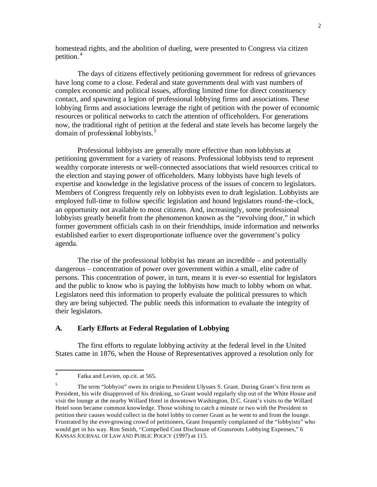homestead rights, and the abolition of dueling, were presented to Congress via citizen petition. <sup>4</sup>

The days of citizens effectively petitioning government for redress of grievances have long come to a close. Federal and state governments deal with vast numbers of complex economic and political issues, affording limited time for direct constituency contact, and spawning a legion of professional lobbying firms and associations. These lobbying firms and associations leverage the right of petition with the power of economic resources or political networks to catch the attention of officeholders. For generations now, the traditional right of petition at the federal and state levels has become largely the domain of professional lobbyists.<sup>5</sup>

Professional lobbyists are generally more effective than non-lobbyists at petitioning government for a variety of reasons. Professional lobbyists tend to represent wealthy corporate interests or well-connected associations that wield resources critical to the election and staying power of officeholders. Many lobbyists have high levels of expertise and knowledge in the legislative process of the issues of concern to legislators. Members of Congress frequently rely on lobbyists even to draft legislation. Lobbyists are employed full-time to follow specific legislation and hound legislators round-the-clock, an opportunity not available to most citizens. And, increasingly, some professional lobbyists greatly benefit from the phenomenon known as the "revolving door," in which former government officials cash in on their friendships, inside information and networks established earlier to exert disproportionate influence over the government's policy agenda.

The rise of the professional lobbyist has meant an incredible – and potentially dangerous – concentration of power over government within a small, elite cadre of persons. This concentration of power, in turn, means it is ever-so essential for legislators and the public to know who is paying the lobbyists how much to lobby whom on what. Legislators need this information to properly evaluate the political pressures to which they are being subjected. The public needs this information to evaluate the integrity of their legislators.

#### **A. Early Efforts at Federal Regulation of Lobbying**

The first efforts to regulate lobbying activity at the federal level in the United States came in 1876, when the House of Representatives approved a resolution only for

 $\frac{1}{4}$ Fatka and Levien, op.cit. at 565.

<sup>5</sup> The term "lobbyist" owes its origin to President Ulysses S. Grant. During Grant's first term as President, his wife disapproved of his drinking, so Grant would regularly slip out of the White House and visit the lounge at the nearby Willard Hotel in downtown Washington, D.C. Grant's visits to the Willard Hotel soon became common knowledge. Those wishing to catch a minute or two with the President to petition their causes would collect in the hotel lobby to corner Grant as he went to and from the lounge. Frustrated by the ever-growing crowd of petitioners, Grant frequently complained of the "lobbyists" who would get in his way. Ron Smith, "Compelled Cost Disclosure of Grassroots Lobbying Expenses," 6 KANSAS JOURNAL OF LAW AND PUBLIC POLICY (1997) at 115.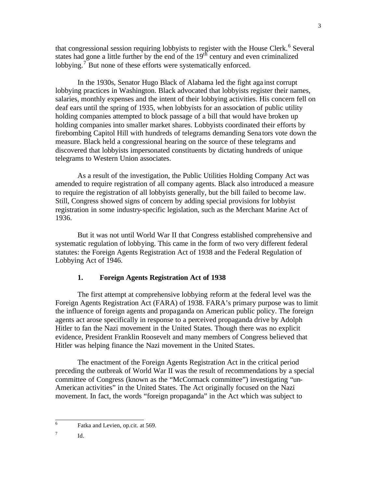that congressional session requiring lobbyists to register with the House Clerk.<sup>6</sup> Several states had gone a little further by the end of the  $19<sup>th</sup>$  century and even criminalized lobbying.<sup>7</sup> But none of these efforts were systematically enforced.

In the 1930s, Senator Hugo Black of Alabama led the fight aga inst corrupt lobbying practices in Washington. Black advocated that lobbyists register their names, salaries, monthly expenses and the intent of their lobbying activities. His concern fell on deaf ears until the spring of 1935, when lobbyists for an association of public utility holding companies attempted to block passage of a bill that would have broken up holding companies into smaller market shares. Lobbyists coordinated their efforts by firebombing Capitol Hill with hundreds of telegrams demanding Sena tors vote down the measure. Black held a congressional hearing on the source of these telegrams and discovered that lobbyists impersonated constituents by dictating hundreds of unique telegrams to Western Union associates.

As a result of the investigation, the Public Utilities Holding Company Act was amended to require registration of all company agents. Black also introduced a measure to require the registration of all lobbyists generally, but the bill failed to become law. Still, Congress showed signs of concern by adding special provisions for lobbyist registration in some industry-specific legislation, such as the Merchant Marine Act of 1936.

But it was not until World War II that Congress established comprehensive and systematic regulation of lobbying. This came in the form of two very different federal statutes: the Foreign Agents Registration Act of 1938 and the Federal Regulation of Lobbying Act of 1946.

## **1. Foreign Agents Registration Act of 1938**

The first attempt at comprehensive lobbying reform at the federal level was the Foreign Agents Registration Act (FARA) of 1938. FARA's primary purpose was to limit the influence of foreign agents and propaganda on American public policy. The foreign agents act arose specifically in response to a perceived propaganda drive by Adolph Hitler to fan the Nazi movement in the United States. Though there was no explicit evidence, President Franklin Roosevelt and many members of Congress believed that Hitler was helping finance the Nazi movement in the United States.

The enactment of the Foreign Agents Registration Act in the critical period preceding the outbreak of World War II was the result of recommendations by a special committee of Congress (known as the "McCormack committee") investigating "un-American activities" in the United States. The Act originally focused on the Nazi movement. In fact, the words "foreign propaganda" in the Act which was subject to

Id.

 6 Fatka and Levien, op.cit. at 569.

<sup>7</sup>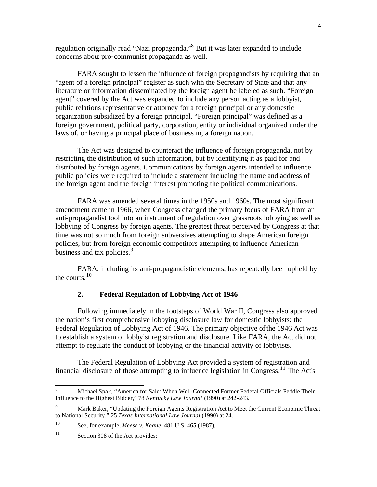regulation originally read "Nazi propaganda."<sup>8</sup> But it was later expanded to include concerns about pro-communist propaganda as well.

FARA sought to lessen the influence of foreign propagandists by requiring that an "agent of a foreign principal" register as such with the Secretary of State and that any literature or information disseminated by the foreign agent be labeled as such. "Foreign agent" covered by the Act was expanded to include any person acting as a lobbyist, public relations representative or attorney for a foreign principal or any domestic organization subsidized by a foreign principal. "Foreign principal" was defined as a foreign government, political party, corporation, entity or individual organized under the laws of, or having a principal place of business in, a foreign nation.

The Act was designed to counteract the influence of foreign propaganda, not by restricting the distribution of such information, but by identifying it as paid for and distributed by foreign agents. Communications by foreign agents intended to influence public policies were required to include a statement including the name and address of the foreign agent and the foreign interest promoting the political communications.

FARA was amended several times in the 1950s and 1960s. The most significant amendment came in 1966, when Congress changed the primary focus of FARA from an anti-propagandist tool into an instrument of regulation over grassroots lobbying as well as lobbying of Congress by foreign agents. The greatest threat perceived by Congress at that time was not so much from foreign subversives attempting to shape American foreign policies, but from foreign economic competitors attempting to influence American business and tax policies.<sup>9</sup>

FARA, including its anti-propagandistic elements, has repeatedly been upheld by the courts.<sup>10</sup>

## **2. Federal Regulation of Lobbying Act of 1946**

Following immediately in the footsteps of World War II, Congress also approved the nation's first comprehensive lobbying disclosure law for domestic lobbyists: the Federal Regulation of Lobbying Act of 1946. The primary objective of the 1946 Act was to establish a system of lobbyist registration and disclosure. Like FARA, the Act did not attempt to regulate the conduct of lobbying or the financial activity of lobbyists.

The Federal Regulation of Lobbying Act provided a system of registration and financial disclosure of those attempting to influence legislation in Congress.<sup>11</sup> The Act's

<sup>8</sup> <sup>8</sup> Michael Spak, "America for Sale: When Well-Connected Former Federal Officials Peddle Their Influence to the Highest Bidder," 78 *Kentucky Law Journal* (1990) at 242-243.

<sup>&</sup>lt;sup>9</sup> Mark Baker, "Updating the Foreign Agents Registration Act to Meet the Current Economic Threat to National Security," 25 *Texas International Law Journal* (1990) at 24.

<sup>10</sup> See, for example, *Meese v. Keane*, 481 U.S. 465 (1987).

<sup>&</sup>lt;sup>11</sup> Section 308 of the Act provides: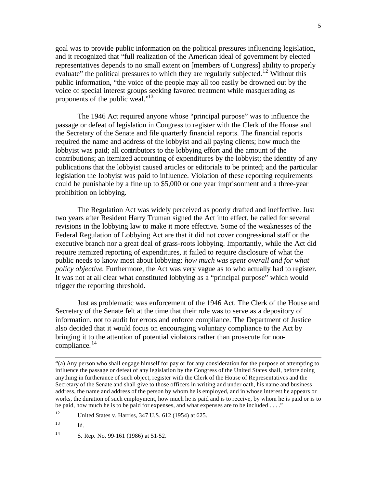goal was to provide public information on the political pressures influencing legislation, and it recognized that "full realization of the American ideal of government by elected representatives depends to no small extent on [members of Congress] ability to properly evaluate" the political pressures to which they are regularly subjected.<sup>12</sup> Without this public information, "the voice of the people may all too easily be drowned out by the voice of special interest groups seeking favored treatment while masquerading as proponents of the public weal."<sup>13</sup>

The 1946 Act required anyone whose "principal purpose" was to influence the passage or defeat of legislation in Congress to register with the Clerk of the House and the Secretary of the Senate and file quarterly financial reports. The financial reports required the name and address of the lobbyist and all paying clients; how much the lobbyist was paid; all contributors to the lobbying effort and the amount of the contributions; an itemized accounting of expenditures by the lobbyist; the identity of any publications that the lobbyist caused articles or editorials to be printed; and the particular legislation the lobbyist was paid to influence. Violation of these reporting requirements could be punishable by a fine up to \$5,000 or one year imprisonment and a three-year prohibition on lobbying.

The Regulation Act was widely perceived as poorly drafted and ineffective. Just two years after Resident Harry Truman signed the Act into effect, he called for several revisions in the lobbying law to make it more effective. Some of the weaknesses of the Federal Regulation of Lobbying Act are that it did not cover congressional staff or the executive branch nor a great deal of grass-roots lobbying. Importantly, while the Act did require itemized reporting of expenditures, it failed to require disclosure of what the public needs to know most about lobbying: *how much was spent overall and for what policy objective*. Furthermore, the Act was very vague as to who actually had to register. It was not at all clear what constituted lobbying as a "principal purpose" which would trigger the reporting threshold.

Just as problematic was enforcement of the 1946 Act. The Clerk of the House and Secretary of the Senate felt at the time that their role was to serve as a depository of information, not to audit for errors and enforce compliance. The Department of Justice also decided that it would focus on encouraging voluntary compliance to the Act by bringing it to the attention of potential violators rather than prosecute for noncompliance.<sup>14</sup>

l

<sup>&</sup>quot;(a) Any person who shall engage himself for pay or for any consideration for the purpose of attempting to influence the passage or defeat of any legislation by the Congress of the United States shall, before doing anything in furtherance of such object, register with the Clerk of the House of Representatives and the Secretary of the Senate and shall give to those officers in writing and under oath, his name and business address, the name and address of the person by whom he is employed, and in whose interest he appears or works, the duration of such employment, how much he is paid and is to receive, by whom he is paid or is to be paid, how much he is to be paid for expenses, and what expenses are to be included . . . ."

<sup>12</sup> United States v. Harriss, 347 U.S. 612 (1954) at 625.

 $^{13}$  Id.

<sup>14</sup> S. Rep. No. 99-161 (1986) at 51-52.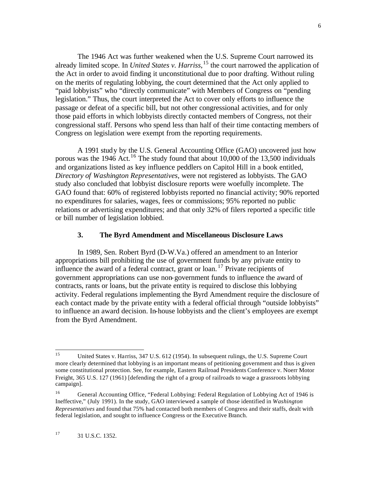The 1946 Act was further weakened when the U.S. Supreme Court narrowed its already limited scope. In *United States v. Harriss*, <sup>15</sup> the court narrowed the application of the Act in order to avoid finding it unconstitutional due to poor drafting. Without ruling on the merits of regulating lobbying, the court determined that the Act only applied to "paid lobbyists" who "directly communicate" with Members of Congress on "pending legislation." Thus, the court interpreted the Act to cover only efforts to influence the passage or defeat of a specific bill, but not other congressional activities, and for only those paid efforts in which lobbyists directly contacted members of Congress, not their congressional staff. Persons who spend less than half of their time contacting members of Congress on legislation were exempt from the reporting requirements.

A 1991 study by the U.S. General Accounting Office (GAO) uncovered just how porous was the 1946 Act.<sup>16</sup> The study found that about 10,000 of the 13,500 individuals and organizations listed as key influence peddlers on Capitol Hill in a book entitled, *Directory of Washington Representatives*, were not registered as lobbyists. The GAO study also concluded that lobbyist disclosure reports were woefully incomplete. The GAO found that: 60% of registered lobbyists reported no financial activity; 90% reported no expenditures for salaries, wages, fees or commissions; 95% reported no public relations or advertising expenditures; and that only 32% of filers reported a specific title or bill number of legislation lobbied.

#### **3. The Byrd Amendment and Miscellaneous Disclosure Laws**

In 1989, Sen. Robert Byrd (D-W.Va.) offered an amendment to an Interior appropriations bill prohibiting the use of government funds by any private entity to influence the award of a federal contract, grant or loan.<sup>17</sup> Private recipients of government appropriations can use non-government funds to influence the award of contracts, rants or loans, but the private entity is required to disclose this lobbying activity. Federal regulations implementing the Byrd Amendment require the disclosure of each contact made by the private entity with a federal official through "outside lobbyists" to influence an award decision. In-house lobbyists and the client's employees are exempt from the Byrd Amendment.

<sup>15</sup> <sup>15</sup> United States v. Harriss, 347 U.S. 612 (1954). In subsequent rulings, the U.S. Supreme Court more clearly determined that lobbying is an important means of petitioning government and thus is given some constitutional protection. See, for example, Eastern Railroad Presidents Conference v. Noerr Motor Freight, 365 U.S. 127 (1961) [defending the right of a group of railroads to wage a grassroots lobbying campaign].

<sup>16</sup> General Accounting Office, "Federal Lobbying: Federal Regulation of Lobbying Act of 1946 is Ineffective," (July 1991). In the study, GAO interviewed a sample of those identified in *Washington Representatives* and found that 75% had contacted both members of Congress and their staffs, dealt with federal legislation, and sought to influence Congress or the Executive Branch.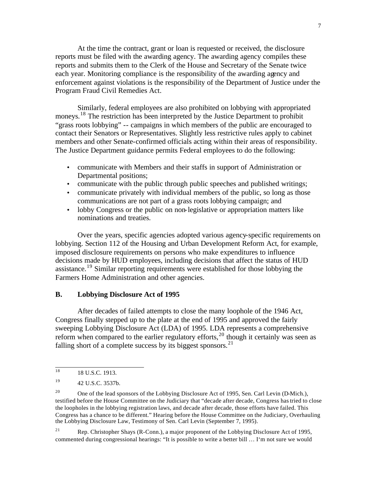At the time the contract, grant or loan is requested or received, the disclosure reports must be filed with the awarding agency. The awarding agency compiles these reports and submits them to the Clerk of the House and Secretary of the Senate twice each year. Monitoring compliance is the responsibility of the awarding agency and enforcement against violations is the responsibility of the Department of Justice under the Program Fraud Civil Remedies Act.

Similarly, federal employees are also prohibited on lobbying with appropriated moneys.<sup>18</sup> The restriction has been interpreted by the Justice Department to prohibit "grass roots lobbying" -- campaigns in which members of the public are encouraged to contact their Senators or Representatives. Slightly less restrictive rules apply to cabinet members and other Senate-confirmed officials acting within their areas of responsibility. The Justice Department guidance permits Federal employees to do the following:

- communicate with Members and their staffs in support of Administration or Departmental positions;
- communicate with the public through public speeches and published writings;
- communicate privately with individual members of the public, so long as those communications are not part of a grass roots lobbying campaign; and
- lobby Congress or the public on non-legislative or appropriation matters like nominations and treaties.

Over the years, specific agencies adopted various agency-specific requirements on lobbying. Section 112 of the Housing and Urban Development Reform Act, for example, imposed disclosure requirements on persons who make expenditures to influence decisions made by HUD employees, including decisions that affect the status of HUD assistance.<sup>19</sup> Similar reporting requirements were established for those lobbying the Farmers Home Administration and other agencies.

## **B. Lobbying Disclosure Act of 1995**

After decades of failed attempts to close the many loophole of the 1946 Act, Congress finally stepped up to the plate at the end of 1995 and approved the fairly sweeping Lobbying Disclosure Act (LDA) of 1995. LDA represents a comprehensive reform when compared to the earlier regulatory efforts,<sup>20</sup> though it certainly was seen as falling short of a complete success by its biggest sponsors.<sup>21</sup>

<sup>21</sup> Rep. Christopher Shays (R-Conn.), a major proponent of the Lobbying Disclosure Act of 1995, commented during congressional hearings: "It is possible to write a better bill … I'm not sure we would

 $\overline{18}$ <sup>18</sup> 18 U.S.C. 1913.

<sup>19</sup> 42 U.S.C. 3537b.

<sup>&</sup>lt;sup>20</sup> One of the lead sponsors of the Lobbying Disclosure Act of 1995, Sen. Carl Levin (D-Mich.), testified before the House Committee on the Judiciary that "decade after decade, Congress has tried to close the loopholes in the lobbying registration laws, and decade after decade, those efforts have failed. This Congress has a chance to be different." Hearing before the House Committee on the Judiciary, Overhauling the Lobbying Disclosure Law, Testimony of Sen. Carl Levin (September 7, 1995).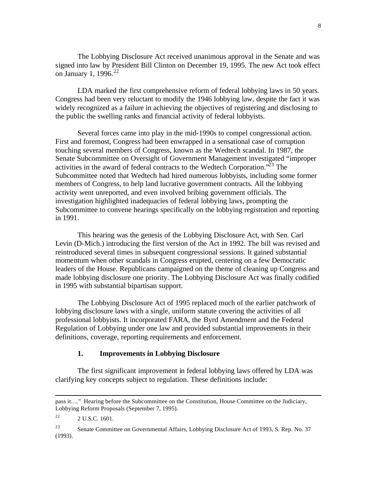The Lobbying Disclosure Act received unanimous approval in the Senate and was signed into law by President Bill Clinton on December 19, 1995. The new Act took effect on January 1, 1996. $22$ 

LDA marked the first comprehensive reform of federal lobbying laws in 50 years. Congress had been very reluctant to modify the 1946 lobbying law, despite the fact it was widely recognized as a failure in achieving the objectives of registering and disclosing to the public the swelling ranks and financial activity of federal lobbyists.

Several forces came into play in the mid-1990s to compel congressional action. First and foremost, Congress had been enwrapped in a sensational case of corruption touching several members of Congress, known as the Wedtech scandal. In 1987, the Senate Subcommittee on Oversight of Government Management investigated "improper activities in the award of federal contracts to the Wedtech Corporation.<sup>323</sup> The Subcommittee noted that Wedtech had hired numerous lobbyists, including some former members of Congress, to help land lucrative government contracts. All the lobbying activity went unreported, and even involved bribing government officials. The investigation highlighted inadequacies of federal lobbying laws, prompting the Subcommittee to convene hearings specifically on the lobbying registration and reporting in 1991.

This hearing was the genesis of the Lobbying Disclosure Act, with Sen. Carl Levin (D-Mich.) introducing the first version of the Act in 1992. The bill was revised and reintroduced several times in subsequent congressional sessions. It gained substantial momentum when other scandals in Congress erupted, centering on a few Democratic leaders of the House. Republicans campaigned on the theme of cleaning up Congress and made lobbying disclosure one priority. The Lobbying Disclosure Act was finally codified in 1995 with substantial bipartisan support.

The Lobbying Disclosure Act of 1995 replaced much of the earlier patchwork of lobbying disclosure laws with a single, uniform statute covering the activities of all professional lobbyists. It incorporated FARA, the Byrd Amendment and the Federal Regulation of Lobbying under one law and provided substantial improvements in their definitions, coverage, reporting requirements and enforcement.

# **1. Improvements in Lobbying Disclosure**

The first significant improvement in federal lobbying laws offered by LDA was clarifying key concepts subject to regulation. These definitions include:

l

pass it…." Hearing before the Subcommittee on the Constitution, House Committee on the Judiciary, Lobbying Reform Proposals (September 7, 1995).

 $2^2$  2 U.S.C. 1601.

<sup>&</sup>lt;sup>23</sup> Senate Committee on Governmental Affairs, Lobbying Disclosure Act of 1993, S. Rep. No. 37 (1993).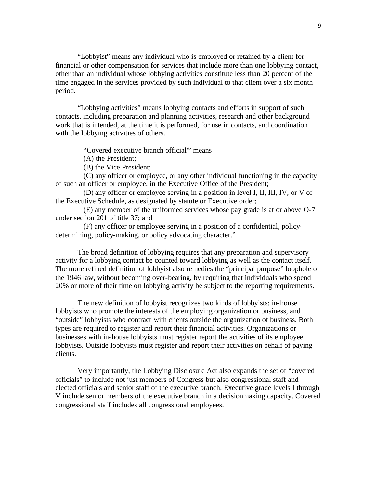"Lobbyist" means any individual who is employed or retained by a client for financial or other compensation for services that include more than one lobbying contact, other than an individual whose lobbying activities constitute less than 20 percent of the time engaged in the services provided by such individual to that client over a six month period.

"Lobbying activities" means lobbying contacts and efforts in support of such contacts, including preparation and planning activities, research and other background work that is intended, at the time it is performed, for use in contacts, and coordination with the lobbying activities of others.

"Covered executive branch official'" means

(A) the President;

(B) the Vice President;

(C) any officer or employee, or any other individual functioning in the capacity of such an officer or employee, in the Executive Office of the President;

(D) any officer or employee serving in a position in level I, II, III, IV, or V of the Executive Schedule, as designated by statute or Executive order;

(E) any member of the uniformed services whose pay grade is at or above O-7 under section 201 of title 37; and

(F) any officer or employee serving in a position of a confidential, policydetermining, policy-making, or policy advocating character."

The broad definition of lobbying requires that any preparation and supervisory activity for a lobbying contact be counted toward lobbying as well as the contact itself. The more refined definition of lobbyist also remedies the "principal purpose" loophole of the 1946 law, without becoming over-bearing, by requiring that individuals who spend 20% or more of their time on lobbying activity be subject to the reporting requirements.

The new definition of lobbyist recognizes two kinds of lobbyists: in-house lobbyists who promote the interests of the employing organization or business, and "outside" lobbyists who contract with clients outside the organization of business. Both types are required to register and report their financial activities. Organizations or businesses with in-house lobbyists must register report the activities of its employee lobbyists. Outside lobbyists must register and report their activities on behalf of paying clients.

Very importantly, the Lobbying Disclosure Act also expands the set of "covered officials" to include not just members of Congress but also congressional staff and elected officials and senior staff of the executive branch. Executive grade levels I through V include senior members of the executive branch in a decisionmaking capacity. Covered congressional staff includes all congressional employees.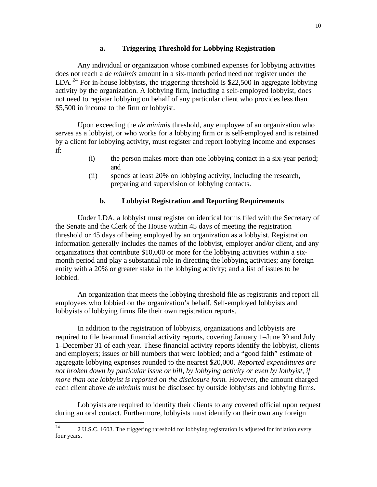#### **a. Triggering Threshold for Lobbying Registration**

Any individual or organization whose combined expenses for lobbying activities does not reach a *de minimis* amount in a six-month period need not register under the LDA.<sup>24</sup> For in-house lobbyists, the triggering threshold is \$22,500 in aggregate lobbying activity by the organization. A lobbying firm, including a self-employed lobbyist, does not need to register lobbying on behalf of any particular client who provides less than \$5,500 in income to the firm or lobbyist.

Upon exceeding the *de minimis* threshold, any employee of an organization who serves as a lobbyist, or who works for a lobbying firm or is self-employed and is retained by a client for lobbying activity, must register and report lobbying income and expenses if:

- (i) the person makes more than one lobbying contact in a six-year period; and
- (ii) spends at least 20% on lobbying activity, including the research, preparing and supervision of lobbying contacts.

#### **b. Lobbyist Registration and Reporting Requirements**

Under LDA, a lobbyist must register on identical forms filed with the Secretary of the Senate and the Clerk of the House within 45 days of meeting the registration threshold or 45 days of being employed by an organization as a lobbyist. Registration information generally includes the names of the lobbyist, employer and/or client, and any organizations that contribute \$10,000 or more for the lobbying activities within a sixmonth period and play a substantial role in directing the lobbying activities; any foreign entity with a 20% or greater stake in the lobbying activity; and a list of issues to be lobbied.

An organization that meets the lobbying threshold file as registrants and report all employees who lobbied on the organization's behalf. Self-employed lobbyists and lobbyists of lobbying firms file their own registration reports.

In addition to the registration of lobbyists, organizations and lobbyists are required to file bi-annual financial activity reports, covering January 1–June 30 and July 1–December 31 of each year. These financial activity reports identify the lobbyist, clients and employers; issues or bill numbers that were lobbied; and a "good faith" estimate of aggregate lobbying expenses rounded to the nearest \$20,000. *Reported expenditures are not broken down by particular issue or bill, by lobbying activity or even by lobbyist, if more than one lobbyist is reported on the disclosure form.* However, the amount charged each client above *de minimis* must be disclosed by outside lobbyists and lobbying firms.

Lobbyists are required to identify their clients to any covered official upon request during an oral contact. Furthermore, lobbyists must identify on their own any foreign

 $24$ <sup>24</sup> 2 U.S.C. 1603. The triggering threshold for lobbying registration is adjusted for inflation every four years.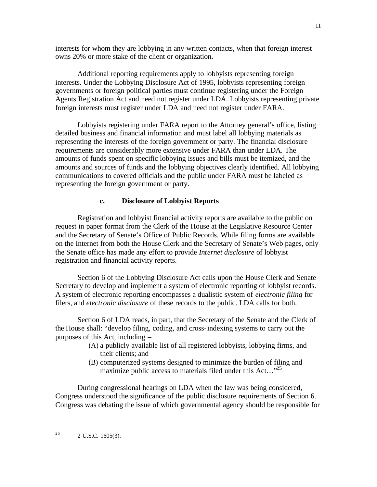interests for whom they are lobbying in any written contacts, when that foreign interest owns 20% or more stake of the client or organization.

Additional reporting requirements apply to lobbyists representing foreign interests. Under the Lobbying Disclosure Act of 1995, lobbyists representing foreign governments or foreign political parties must continue registering under the Foreign Agents Registration Act and need not register under LDA. Lobbyists representing private foreign interests must register under LDA and need not register under FARA.

Lobbyists registering under FARA report to the Attorney general's office, listing detailed business and financial information and must label all lobbying materials as representing the interests of the foreign government or party. The financial disclosure requirements are considerably more extensive under FARA than under LDA. The amounts of funds spent on specific lobbying issues and bills must be itemized, and the amounts and sources of funds and the lobbying objectives clearly identified. All lobbying communications to covered officials and the public under FARA must be labeled as representing the foreign government or party.

## **c. Disclosure of Lobbyist Reports**

Registration and lobbyist financial activity reports are available to the public on request in paper format from the Clerk of the House at the Legislative Resource Center and the Secretary of Senate's Office of Public Records. While filing forms are available on the Internet from both the House Clerk and the Secretary of Senate's Web pages, only the Senate office has made any effort to provide *Internet disclosure* of lobbyist registration and financial activity reports.

Section 6 of the Lobbying Disclosure Act calls upon the House Clerk and Senate Secretary to develop and implement a system of electronic reporting of lobbyist records. A system of electronic reporting encompasses a dualistic system of *electronic filing* for filers, and *electronic disclosure* of these records to the public. LDA calls for both.

Section 6 of LDA reads, in part, that the Secretary of the Senate and the Clerk of the House shall: "develop filing, coding, and cross-indexing systems to carry out the purposes of this Act, including –

- (A) a publicly available list of all registered lobbyists, lobbying firms, and their clients; and
- (B) computerized systems designed to minimize the burden of filing and maximize public access to materials filed under this Act... $^{25}$

During congressional hearings on LDA when the law was being considered, Congress understood the significance of the public disclosure requirements of Section 6. Congress was debating the issue of which governmental agency should be responsible for

2 U.S.C. 1605(3).

25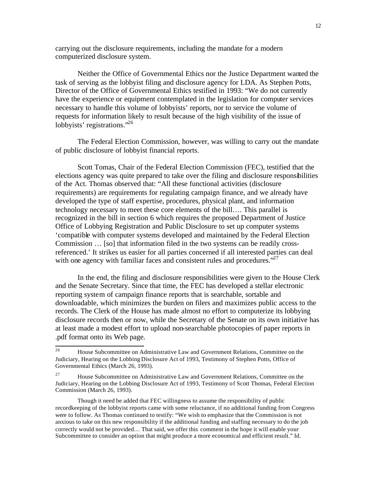carrying out the disclosure requirements, including the mandate for a modern computerized disclosure system.

Neither the Office of Governmental Ethics nor the Justice Department wanted the task of serving as the lobbyist filing and disclosure agency for LDA. As Stephen Potts, Director of the Office of Governmental Ethics testified in 1993: "We do not currently have the experience or equipment contemplated in the legislation for computer services necessary to handle this volume of lobbyists' reports, nor to service the volume of requests for information likely to result because of the high visibility of the issue of lobbyists' registrations."<sup>26</sup>

The Federal Election Commission, however, was willing to carry out the mandate of public disclosure of lobbyist financial reports.

Scott Tomas, Chair of the Federal Election Commission (FEC), testified that the elections agency was quite prepared to take over the filing and disclosure responsibilities of the Act. Thomas observed that: "All these functional activities (disclosure requirements) are requirements for regulating campaign finance, and we already have developed the type of staff expertise, procedures, physical plant, and information technology necessary to meet these core elements of the bill…. This parallel is recognized in the bill in section 6 which requires the proposed Department of Justice Office of Lobbying Registration and Public Disclosure to set up computer systems 'compatible with computer systems developed and maintained by the Federal Election Commission … [so] that information filed in the two systems can be readily crossreferenced.' It strikes us easier for all parties concerned if all interested parties can deal with one agency with familiar faces and consistent rules and procedures. $^{27}$ 

In the end, the filing and disclosure responsibilities were given to the House Clerk and the Senate Secretary. Since that time, the FEC has developed a stellar electronic reporting system of campaign finance reports that is searchable, sortable and downloadable, which minimizes the burden on filers and maximizes public access to the records. The Clerk of the House has made almost no effort to computerize its lobbying disclosure records then or now, while the Secretary of the Senate on its own initiative has at least made a modest effort to upload non-searchable photocopies of paper reports in .pdf format onto its Web page.

 $\overline{26}$ <sup>26</sup> House Subcommittee on Administrative Law and Government Relations, Committee on the Judiciary, Hearing on the Lobbing Disclosure Act of 1993, Testimony of Stephen Potts, Office of Governmental Ethics (March 26, 1993).

<sup>&</sup>lt;sup>27</sup> House Subcommittee on Administrative Law and Government Relations, Committee on the Judiciary, Hearing on the Lobbing Disclosure Act of 1993, Testimony of Scott Thomas, Federal Election Commission (March 26, 1993).

Though it need be added that FEC willingness to assume the responsibility of public recordkeeping of the lobbyist reports came with some reluctance, if no additional funding from Congress were to follow. As Thomas continued to testify: "We wish to emphasize that the Commission is not anxious to take on this new responsibility if the additional funding and staffing necessary to do the job correctly would not be provided… That said, we offer this comment in the hope it will enable your Subcommittee to consider an option that might produce a more economical and efficient result." Id.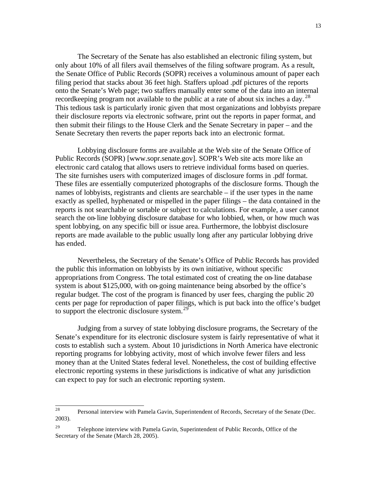The Secretary of the Senate has also established an electronic filing system, but only about 10% of all filers avail themselves of the filing software program. As a result, the Senate Office of Public Records (SOPR) receives a voluminous amount of paper each filing period that stacks about 36 feet high. Staffers upload .pdf pictures of the reports onto the Senate's Web page; two staffers manually enter some of the data into an internal record keeping program not available to the public at a rate of about six inches a day.<sup>28</sup> This tedious task is particularly ironic given that most organizations and lobbyists prepare their disclosure reports via electronic software, print out the reports in paper format, and then submit their filings to the House Clerk and the Senate Secretary in paper – and the Senate Secretary then reverts the paper reports back into an electronic format.

Lobbying disclosure forms are available at the Web site of the Senate Office of Public Records (SOPR) [www.sopr.senate.gov]. SOPR's Web site acts more like an electronic card catalog that allows users to retrieve individual forms based on queries. The site furnishes users with computerized images of disclosure forms in .pdf format. These files are essentially computerized photographs of the disclosure forms. Though the names of lobbyists, registrants and clients are searchable – if the user types in the name exactly as spelled, hyphenated or mispelled in the paper filings – the data contained in the reports is not searchable or sortable or subject to calculations. For example, a user cannot search the on-line lobbying disclosure database for who lobbied, when, or how much was spent lobbying, on any specific bill or issue area. Furthermore, the lobbyist disclosure reports are made available to the public usually long after any particular lobbying drive has ended.

Nevertheless, the Secretary of the Senate's Office of Public Records has provided the public this information on lobbyists by its own initiative, without specific appropriations from Congress. The total estimated cost of creating the on-line database system is about \$125,000, with on-going maintenance being absorbed by the office's regular budget. The cost of the program is financed by user fees, charging the public 20 cents per page for reproduction of paper filings, which is put back into the office's budget to support the electronic disclosure system.<sup>29</sup>

Judging from a survey of state lobbying disclosure programs, the Secretary of the Senate's expenditure for its electronic disclosure system is fairly representative of what it costs to establish such a system. About 10 jurisdictions in North America have electronic reporting programs for lobbying activity, most of which involve fewer filers and less money than at the United States federal level. Nonetheless, the cost of building effective electronic reporting systems in these jurisdictions is indicative of what any jurisdiction can expect to pay for such an electronic reporting system.

<sup>28</sup> Personal interview with Pamela Gavin, Superintendent of Records, Secretary of the Senate (Dec. 2003).

<sup>&</sup>lt;sup>29</sup> Telephone interview with Pamela Gavin, Superintendent of Public Records, Office of the Secretary of the Senate (March 28, 2005).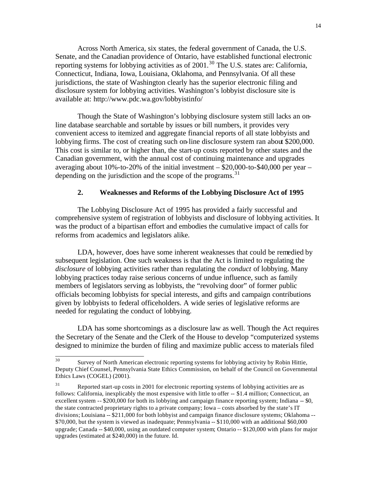Across North America, six states, the federal government of Canada, the U.S. Senate, and the Canadian providence of Ontario, have established functional electronic reporting systems for lobbying activities as of  $2001$ .<sup>30</sup> The U.S. states are: California, Connecticut, Indiana, Iowa, Louisiana, Oklahoma, and Pennsylvania. Of all these jurisdictions, the state of Washington clearly has the superior electronic filing and disclosure system for lobbying activities. Washington's lobbyist disclosure site is available at: http://www.pdc.wa.gov/lobbyistinfo/

Though the State of Washington's lobbying disclosure system still lacks an online database searchable and sortable by issues or bill numbers, it provides very convenient access to itemized and aggregate financial reports of all state lobbyists and lobbying firms. The cost of creating such on-line disclosure system ran about \$200,000. This cost is similar to, or higher than, the start-up costs reported by other states and the Canadian government, with the annual cost of continuing maintenance and upgrades averaging about 10%-to-20% of the initial investment  $-$  \$20,000-to-\$40,000 per year  $$ depending on the jurisdiction and the scope of the programs.<sup>31</sup>

## **2. Weaknesses and Reforms of the Lobbying Disclosure Act of 1995**

The Lobbying Disclosure Act of 1995 has provided a fairly successful and comprehensive system of registration of lobbyists and disclosure of lobbying activities. It was the product of a bipartisan effort and embodies the cumulative impact of calls for reforms from academics and legislators alike.

LDA, however, does have some inherent weaknesses that could be remedied by subsequent legislation. One such weakness is that the Act is limited to regulating the *disclosure* of lobbying activities rather than regulating the *conduct* of lobbying. Many lobbying practices today raise serious concerns of undue influence, such as family members of legislators serving as lobbyists, the "revolving door" of former public officials becoming lobbyists for special interests, and gifts and campaign contributions given by lobbyists to federal officeholders. A wide series of legislative reforms are needed for regulating the conduct of lobbying.

LDA has some shortcomings as a disclosure law as well. Though the Act requires the Secretary of the Senate and the Clerk of the House to develop "computerized systems designed to minimize the burden of filing and maximize public access to materials filed

<sup>30</sup> Survey of North American electronic reporting systems for lobbying activity by Robin Hittie, Deputy Chief Counsel, Pennsylvania State Ethics Commission, on behalf of the Council on Governmental Ethics Laws (COGEL) (2001).

<sup>&</sup>lt;sup>31</sup> Reported start-up costs in 2001 for electronic reporting systems of lobbying activities are as follows: California, inexplicably the most expensive with little to offer -- \$1.4 million; Connecticut, an excellent system -- \$200,000 for both its lobbying and campaign finance reporting system; Indiana -- \$0, the state contracted proprietary rights to a private company; Iowa – costs absorbed by the state's IT divisions; Louisiana -- \$211,000 for both lobbyist and campaign finance disclosure systems; Oklahoma -- \$70,000, but the system is viewed as inadequate; Pennsylvania -- \$110,000 with an additional \$60,000 upgrade; Canada -- \$40,000, using an outdated computer system; Ontario -- \$120,000 with plans for major upgrades (estimated at \$240,000) in the future. Id.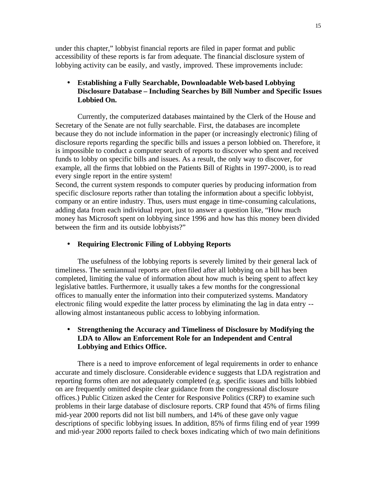under this chapter," lobbyist financial reports are filed in paper format and public accessibility of these reports is far from adequate. The financial disclosure system of lobbying activity can be easily, and vastly, improved. These improvements include:

# • **Establishing a Fully Searchable, Downloadable Web-based Lobbying Disclosure Database – Including Searches by Bill Number and Specific Issues Lobbied On.**

Currently, the computerized databases maintained by the Clerk of the House and Secretary of the Senate are not fully searchable. First, the databases are incomplete because they do not include information in the paper (or increasingly electronic) filing of disclosure reports regarding the specific bills and issues a person lobbied on. Therefore, it is impossible to conduct a computer search of reports to discover who spent and received funds to lobby on specific bills and issues. As a result, the only way to discover, for example, all the firms that lobbied on the Patients Bill of Rights in 1997-2000, is to read every single report in the entire system!

Second, the current system responds to computer queries by producing information from specific disclosure reports rather than totaling the information about a specific lobbyist, company or an entire industry. Thus, users must engage in time-consuming calculations, adding data from each individual report, just to answer a question like, "How much money has Microsoft spent on lobbying since 1996 and how has this money been divided between the firm and its outside lobbyists?"

# • **Requiring Electronic Filing of Lobbying Reports**

The usefulness of the lobbying reports is severely limited by their general lack of timeliness. The semiannual reports are often filed after all lobbying on a bill has been completed, limiting the value of information about how much is being spent to affect key legislative battles. Furthermore, it usually takes a few months for the congressional offices to manually enter the information into their computerized systems. Mandatory electronic filing would expedite the latter process by eliminating the lag in data entry - allowing almost instantaneous public access to lobbying information.

# • **Strengthening the Accuracy and Timeliness of Disclosure by Modifying the LDA to Allow an Enforcement Role for an Independent and Central Lobbying and Ethics Office.**

There is a need to improve enforcement of legal requirements in order to enhance accurate and timely disclosure. Considerable evidenc e suggests that LDA registration and reporting forms often are not adequately completed (e.g. specific issues and bills lobbied on are frequently omitted despite clear guidance from the congressional disclosure offices.) Public Citizen asked the Center for Responsive Politics (CRP) to examine such problems in their large database of disclosure reports. CRP found that 45% of firms filing mid-year 2000 reports did not list bill numbers, and 14% of these gave only vague descriptions of specific lobbying issues. In addition, 85% of firms filing end of year 1999 and mid-year 2000 reports failed to check boxes indicating which of two main definitions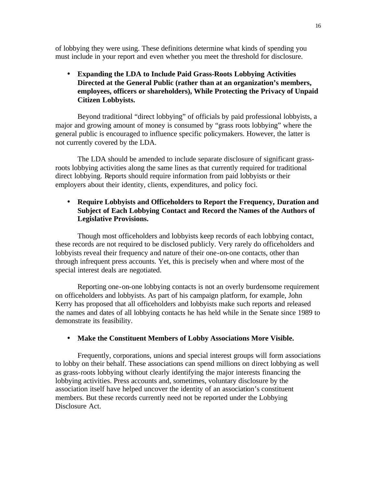of lobbying they were using. These definitions determine what kinds of spending you must include in your report and even whether you meet the threshold for disclosure.

• **Expanding the LDA to Include Paid Grass-Roots Lobbying Activities Directed at the General Public (rather than at an organization's members, employees, officers or shareholders), While Protecting the Privacy of Unpaid Citizen Lobbyists.**

Beyond traditional "direct lobbying" of officials by paid professional lobbyists, a major and growing amount of money is consumed by "grass roots lobbying" where the general public is encouraged to influence specific policymakers. However, the latter is not currently covered by the LDA.

The LDA should be amended to include separate disclosure of significant grassroots lobbying activities along the same lines as that currently required for traditional direct lobbying. Reports should require information from paid lobbyists or their employers about their identity, clients, expenditures, and policy foci.

# • **Require Lobbyists and Officeholders to Report the Frequency, Duration and Subject of Each Lobbying Contact and Record the Names of the Authors of Legislative Provisions.**

Though most officeholders and lobbyists keep records of each lobbying contact, these records are not required to be disclosed publicly. Very rarely do officeholders and lobbyists reveal their frequency and nature of their one-on-one contacts, other than through infrequent press accounts. Yet, this is precisely when and where most of the special interest deals are negotiated.

Reporting one-on-one lobbying contacts is not an overly burdensome requirement on officeholders and lobbyists. As part of his campaign platform, for example, John Kerry has proposed that all officeholders and lobbyists make such reports and released the names and dates of all lobbying contacts he has held while in the Senate since 1989 to demonstrate its feasibility.

# • **Make the Constituent Members of Lobby Associations More Visible.**

Frequently, corporations, unions and special interest groups will form associations to lobby on their behalf. These associations can spend millions on direct lobbying as well as grass-roots lobbying without clearly identifying the major interests financing the lobbying activities. Press accounts and, sometimes, voluntary disclosure by the association itself have helped uncover the identity of an association's constituent members. But these records currently need not be reported under the Lobbying Disclosure Act.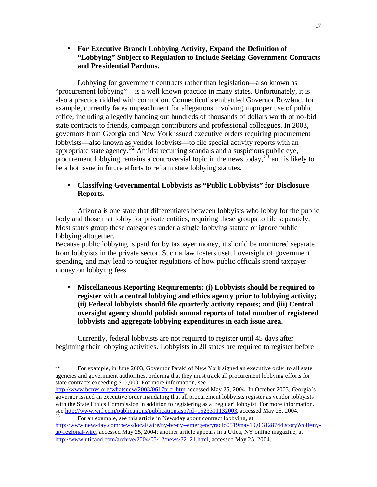• **For Executive Branch Lobbying Activity, Expand the Definition of "Lobbying" Subject to Regulation to Include Seeking Government Contracts and Presidential Pardons.**

Lobbying for government contracts rather than legislation—also known as "procurement lobbying"—is a well known practice in many states. Unfortunately, it is also a practice riddled with corruption. Connecticut's embattled Governor Rowland, for example, currently faces impeachment for allegations involving improper use of public office, including allegedly handing out hundreds of thousands of dollars worth of no-bid state contracts to friends, campaign contributors and professional colleagues. In 2003, governors from Georgia and New York issued executive orders requiring procurement lobbyists—also known as vendor lobbyists—to file special activity reports with an appropriate state agency.<sup>32</sup> Amidst recurring scandals and a suspicious public eye, procurement lobbying remains a controversial topic in the news today,  $33$  and is likely to be a hot issue in future efforts to reform state lobbying statutes.

# • **Classifying Governmental Lobbyists as "Public Lobbyists" for Disclosure Reports.**

Arizona is one state that differentiates between lobbyists who lobby for the public body and those that lobby for private entities, requiring these groups to file separately. Most states group these categories under a single lobbying statute or ignore public lobbying altogether.

Because public lobbying is paid for by taxpayer money, it should be monitored separate from lobbyists in the private sector. Such a law fosters useful oversight of government spending, and may lead to tougher regulations of how public officials spend taxpayer money on lobbying fees.

• **Miscellaneous Reporting Requirements: (i) Lobbyists should be required to register with a central lobbying and ethics agency prior to lobbying activity; (ii) Federal lobbyists should file quarterly activity reports; and (iii) Central oversight agency should publish annual reports of total number of registered lobbyists and aggregate lobbying expenditures in each issue area.**

Currently, federal lobbyists are not required to register until 45 days after beginning their lobbying activities. Lobbyists in 20 states are required to register before

 $\overline{32}$ <sup>32</sup> For example, in June 2003, Governor Pataki of New York signed an executive order to all state agencies and government authorities, ordering that they must track all procurement lobbying efforts for state contracts exceeding \$15,000. For more information, see

http://www.bcnys.org/whatsnew/2003/0617prcr.htm accessed May 25, 2004. In October 2003, Georgia's governor issued an executive order mandating that all procurement lobbyists register as vendor lobbyists with the State Ethics Commission in addition to registering as a 'regular' lobbyist. For more information, see http://www.wrf.com/publications/publication.asp?id=1523311132003, accessed May 25, 2004.

<sup>33</sup> For an example, see this article in Newsday about contract lobbying, at http://www.newsday.com/news/local/wire/ny-bc-ny--emergencyradio0519may19,0,3128744.story?coll=nyap-regional-wire, accessed May 25, 2004; another article appears in a Utica, NY online magazine, at http://www.uticaod.com/archive/2004/05/12/news/32121.html, accessed May 25, 2004.